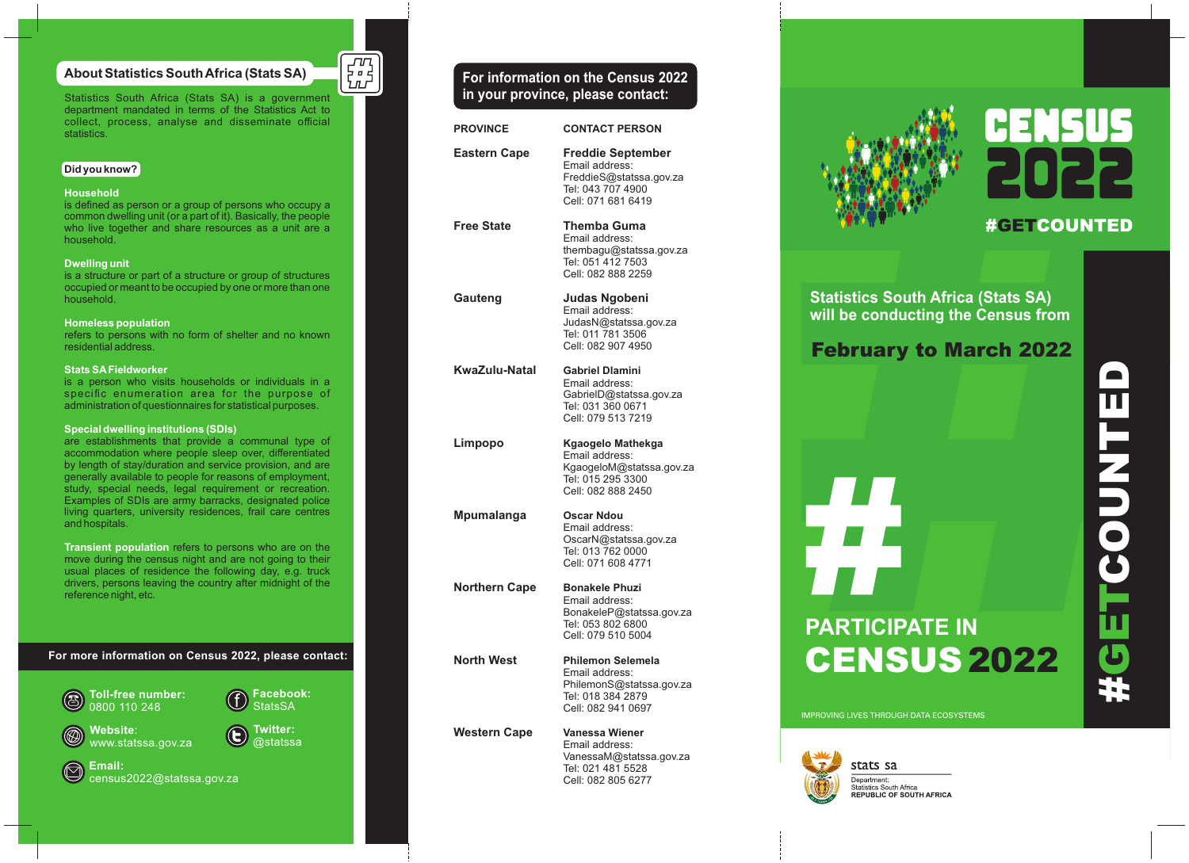## **About Statistics South Africa (Stats SA)**

Statistics South Africa (Stats SA) is a government department mandated in terms of the Statistics Act to collect, process, analyse and disseminate official statistics.

#### **Did you know?**

#### **Household**

is defined as person or a group of persons who occupy a common dwelling unit (or a part of it). Basically, the people who live together and share resources as a unit are a household.

#### **Dwelling unit**

is a structure or part of a structure or group of structures occupied or meant to be occupied by one or more than one household.

#### **Homeless population**

residential address.

#### **Stats SAFieldworker**

is a person who visits households or individuals in a specific enumeration area for the purpose of administration of questionnaires for statistical purposes.

#### **Special dwelling institutions (SDIs)**

are establishments that provide a communal type of accommodation where people sleep over, differentiated by length of stay/duration and service provision, and are generally available to people for reasons of employment, study, special needs, legal requirement or recreation. Examples of SDIs are army barracks, designated police living quarters, university residences, frail care centres and hospitals.

**Transient population** refers to persons who are on the move during the census night and are not going to their usual places of residence the following day, e.g. truck drivers, persons leaving the country after midnight of the reference night, etc.

**For more information on Census 2022, please contact:**



 $\overline{\mathbf{r}_{\mathbf{n}}^{\mathbf{u}_1}}$ 

refers to persons with no form of shelter and no known



| <b>PROVINCE</b>     | <b>CONTACT PERSON</b>                                                                                             |
|---------------------|-------------------------------------------------------------------------------------------------------------------|
| <b>Eastern Cape</b> | <b>Freddie September</b><br>Email address:<br>FreddieS@statssa.gov.za<br>Tel: 043 707 4900<br>Cell: 071 681 6419  |
| <b>Free State</b>   | Themba Guma<br>Email address:<br>thembagu@statssa.gov.za<br>Tel: 051 412 7503<br>Cell: 082 888 2259               |
| Gauteng             | Judas Ngobeni<br>Email address:<br>JudasN@statssa.gov.za<br>Tel: 011 781 3506<br>Cell: 082 907 4950               |
| KwaZulu-Natal       | <b>Gabriel Dlamini</b><br>Email address:<br>GabrielD@statssa.gov.za<br>Tel: 031 360 0671<br>Cell: 079 513 7219    |
| Limpopo             | Kgaogelo Mathekga<br>Email address:<br>KgaogeloM@statssa.gov.za<br>Tel: 015 295 3300<br>Cell: 082 888 2450        |
| Mpumalanga          | <b>Oscar Ndou</b><br>Email address:<br>OscarN@statssa.gov.za<br>Tel: 013 762 0000<br>Cell: 071 608 4771           |
| Northern Cape       | <b>Bonakele Phuzi</b><br>Email address:<br>BonakeleP@statssa.gov.za<br>Tel: 053 802 6800<br>Cell: 079 510 5004    |
| <b>North West</b>   | <b>Philemon Selemela</b><br>Email address:<br>PhilemonS@statssa.gov.za<br>Tel: 018 384 2879<br>Cell: 082 941 0697 |
| <b>Western Cape</b> | Vanessa Wiener<br>Email address:<br>VanessaM@statssa.gov.za<br>Tel: 021 481 5528<br>Cell: 082 805 6277            |



# **#GETCOUNTED**

**Statistics South Africa (Stats SA) will be conducting the Census from**

# February to March 2022



IMPROVING LIVES THROUGH DATA ECOSYSTEMS